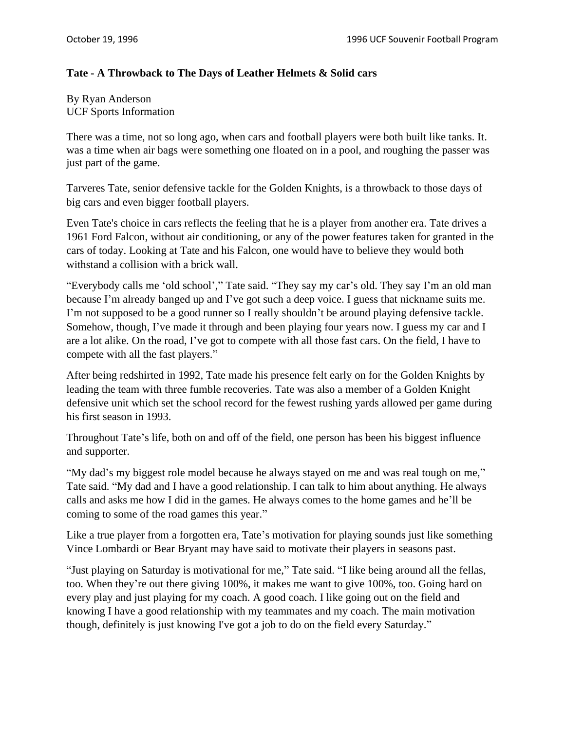## **Tate - A Throwback to The Days of Leather Helmets & Solid cars**

By Ryan Anderson UCF Sports Information

There was a time, not so long ago, when cars and football players were both built like tanks. It. was a time when air bags were something one floated on in a pool, and roughing the passer was just part of the game.

Tarveres Tate, senior defensive tackle for the Golden Knights, is a throwback to those days of big cars and even bigger football players.

Even Tate's choice in cars reflects the feeling that he is a player from another era. Tate drives a 1961 Ford Falcon, without air conditioning, or any of the power features taken for granted in the cars of today. Looking at Tate and his Falcon, one would have to believe they would both withstand a collision with a brick wall.

"Everybody calls me 'old school'," Tate said. "They say my car's old. They say I'm an old man because I'm already banged up and I've got such a deep voice. I guess that nickname suits me. I'm not supposed to be a good runner so I really shouldn't be around playing defensive tackle. Somehow, though, I've made it through and been playing four years now. I guess my car and I are a lot alike. On the road, I've got to compete with all those fast cars. On the field, I have to compete with all the fast players."

After being redshirted in 1992, Tate made his presence felt early on for the Golden Knights by leading the team with three fumble recoveries. Tate was also a member of a Golden Knight defensive unit which set the school record for the fewest rushing yards allowed per game during his first season in 1993.

Throughout Tate's life, both on and off of the field, one person has been his biggest influence and supporter.

"My dad's my biggest role model because he always stayed on me and was real tough on me," Tate said. "My dad and I have a good relationship. I can talk to him about anything. He always calls and asks me how I did in the games. He always comes to the home games and he'll be coming to some of the road games this year."

Like a true player from a forgotten era, Tate's motivation for playing sounds just like something Vince Lombardi or Bear Bryant may have said to motivate their players in seasons past.

"Just playing on Saturday is motivational for me," Tate said. "I like being around all the fellas, too. When they're out there giving 100%, it makes me want to give 100%, too. Going hard on every play and just playing for my coach. A good coach. I like going out on the field and knowing I have a good relationship with my teammates and my coach. The main motivation though, definitely is just knowing I've got a job to do on the field every Saturday."